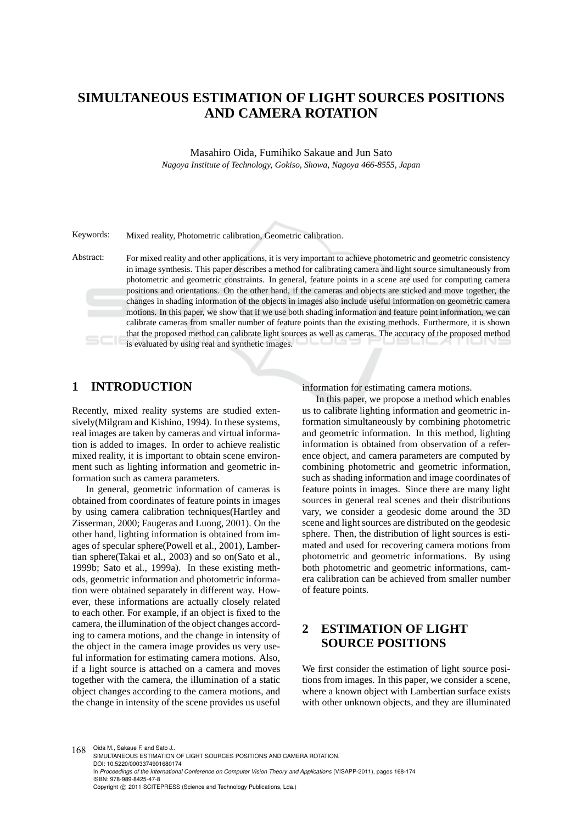# **SIMULTANEOUS ESTIMATION OF LIGHT SOURCES POSITIONS AND CAMERA ROTATION**

Masahiro Oida, Fumihiko Sakaue and Jun Sato *Nagoya Institute of Technology, Gokiso, Showa, Nagoya 466-8555, Japan*

Keywords: Mixed reality, Photometric calibration, Geometric calibration.

Abstract: For mixed reality and other applications, it is very important to achieve photometric and geometric consistency in image synthesis. This paper describes a method for calibrating camera and light source simultaneously from photometric and geometric constraints. In general, feature points in a scene are used for computing camera positions and orientations. On the other hand, if the cameras and objects are sticked and move together, the changes in shading information of the objects in images also include useful information on geometric camera motions. In this paper, we show that if we use both shading information and feature point information, we can calibrate cameras from smaller number of feature points than the existing methods. Furthermore, it is shown that the proposed method can calibrate light sources as well as cameras. The accuracy of the proposed method is evaluated by using real and synthetic images.

## **1 INTRODUCTION**

Recently, mixed reality systems are studied extensively(Milgram and Kishino, 1994). In these systems, real images are taken by cameras and virtual information is added to images. In order to achieve realistic mixed reality, it is important to obtain scene environment such as lighting information and geometric information such as camera parameters.

In general, geometric information of cameras is obtained from coordinates of feature points in images by using camera calibration techniques(Hartley and Zisserman, 2000; Faugeras and Luong, 2001). On the other hand, lighting information is obtained from images of specular sphere(Powell et al., 2001), Lambertian sphere(Takai et al., 2003) and so on(Sato et al., 1999b; Sato et al., 1999a). In these existing methods, geometric information and photometric information were obtained separately in different way. However, these informations are actually closely related to each other. For example, if an object is fixed to the camera, the illumination of the object changes according to camera motions, and the change in intensity of the object in the camera image provides us very useful information for estimating camera motions. Also, if a light source is attached on a camera and moves together with the camera, the illumination of a static object changes according to the camera motions, and the change in intensity of the scene provides us useful information for estimating camera motions.

In this paper, we propose a method which enables us to calibrate lighting information and geometric information simultaneously by combining photometric and geometric information. In this method, lighting information is obtained from observation of a reference object, and camera parameters are computed by combining photometric and geometric information, such as shading information and image coordinates of feature points in images. Since there are many light sources in general real scenes and their distributions vary, we consider a geodesic dome around the 3D scene and light sources are distributed on the geodesic sphere. Then, the distribution of light sources is estimated and used for recovering camera motions from photometric and geometric informations. By using both photometric and geometric informations, camera calibration can be achieved from smaller number of feature points.

## **2 ESTIMATION OF LIGHT SOURCE POSITIONS**

We first consider the estimation of light source positions from images. In this paper, we consider a scene, where a known object with Lambertian surface exists with other unknown objects, and they are illuminated

168 Oida M., Sakaue F. and Sato J. SIMULTANEOUS ESTIMATION OF LIGHT SOURCES POSITIONS AND CAMERA ROTATION. DOI: 10.5220/0003374901680174 In *Proceedings of the International Conference on Computer Vision Theory and Applications* (VISAPP-2011), pages 168-174 ISBN: 978-989-8425-47-8 Copyright © 2011 SCITEPRESS (Science and Technology Publications, Lda.)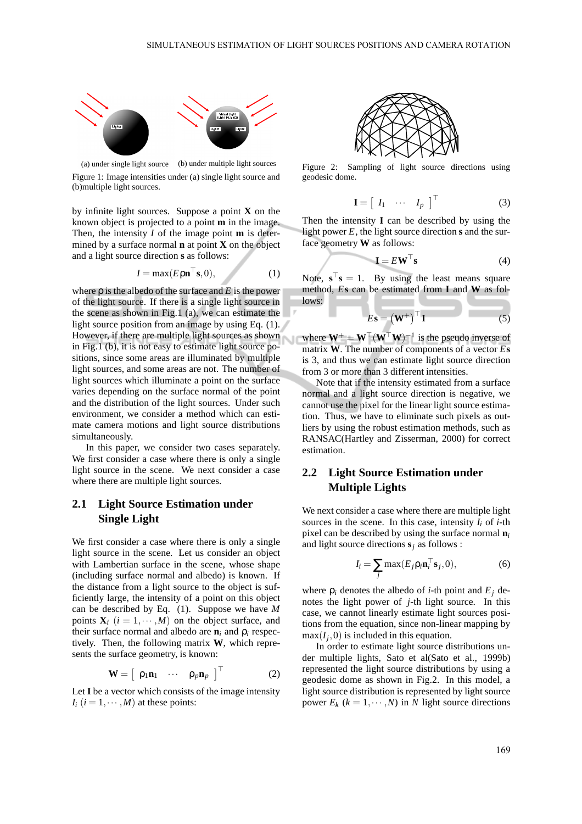

(a) under single light source (b) under multiple light sources Figure 1: Image intensities under (a) single light source and (b)multiple light sources.

by infinite light sources. Suppose a point **X** on the known object is projected to a point **m** in the image. Then, the intensity *I* of the image point **m** is determined by a surface normal **n** at point **X** on the object and a light source direction **s** as follows:

$$
I = \max(E \rho \mathbf{n}^\top \mathbf{s}, 0),\tag{1}
$$

where ρ is the albedo of the surface and *E* is the power of the light source. If there is a single light source in the scene as shown in Fig.1 (a), we can estimate the light source position from an image by using Eq. (1). However, if there are multiple light sources as shown where  $W^+ = W^{\top} (W^{\top} W)^{-1}$  is the pseudo inverse of in Fig.1 (b), it is not easy to estimate light source positions, since some areas are illuminated by multiple light sources, and some areas are not. The number of light sources which illuminate a point on the surface varies depending on the surface normal of the point and the distribution of the light sources. Under such environment, we consider a method which can estimate camera motions and light source distributions simultaneously.

In this paper, we consider two cases separately. We first consider a case where there is only a single light source in the scene. We next consider a case where there are multiple light sources.

#### **2.1 Light Source Estimation under Single Light**

We first consider a case where there is only a single light source in the scene. Let us consider an object with Lambertian surface in the scene, whose shape (including surface normal and albedo) is known. If the distance from a light source to the object is sufficiently large, the intensity of a point on this object can be described by Eq. (1). Suppose we have *M* points  $X_i$  ( $i = 1, \dots, M$ ) on the object surface, and their surface normal and albedo are  $\mathbf{n}_i$  and  $\rho_i$  respectively. Then, the following matrix **W**, which represents the surface geometry, is known:

$$
\mathbf{W} = \begin{bmatrix} \rho_1 \mathbf{n}_1 & \cdots & \rho_p \mathbf{n}_p \end{bmatrix}^\top \tag{2}
$$

Let **I** be a vector which consists of the image intensity  $I_i$  ( $i = 1, \dots, M$ ) at these points:



Figure 2: Sampling of light source directions using geodesic dome.

**I** =

$$
I = \left[ \begin{array}{ccc} I_1 & \cdots & I_p \end{array} \right]^\top \tag{3}
$$

Then the intensity **I** can be described by using the light power *E*, the light source direction **s** and the surface geometry **W** as follows:

$$
\mathbf{I} = E \mathbf{W}^{\top} \mathbf{s} \tag{4}
$$

Note,  $\mathbf{s}^\top \mathbf{s} = 1$ . By using the least means square method, *E***s** can be estimated from **I** and **W** as follows:

$$
E\mathbf{s} = (\mathbf{W}^+)^{\top} \mathbf{I} \tag{5}
$$

matrix **W**. The number of components of a vector *E***s** is 3, and thus we can estimate light source direction from 3 or more than 3 different intensities.

Note that if the intensity estimated from a surface normal and a light source direction is negative, we cannot use the pixel for the linear light source estimation. Thus, we have to eliminate such pixels as outliers by using the robust estimation methods, such as RANSAC(Hartley and Zisserman, 2000) for correct estimation.

### **2.2 Light Source Estimation under Multiple Lights**

We next consider a case where there are multiple light sources in the scene. In this case, intensity  $I_i$  of  $i$ -th pixel can be described by using the surface normal **n***<sup>i</sup>* and light source directions **s***<sup>j</sup>* as follows :

$$
I_i = \sum_j \max(E_j \rho_i \mathbf{n}_i^{\top} \mathbf{s}_j, 0), \tag{6}
$$

where  $\rho_i$  denotes the albedo of *i*-th point and  $E_i$  denotes the light power of *j*-th light source. In this case, we cannot linearly estimate light sources positions from the equation, since non-linear mapping by  $\max(I_j, 0)$  is included in this equation.

In order to estimate light source distributions under multiple lights, Sato et al(Sato et al., 1999b) represented the light source distributions by using a geodesic dome as shown in Fig.2. In this model, a light source distribution is represented by light source power  $E_k$  ( $k = 1, \dots, N$ ) in *N* light source directions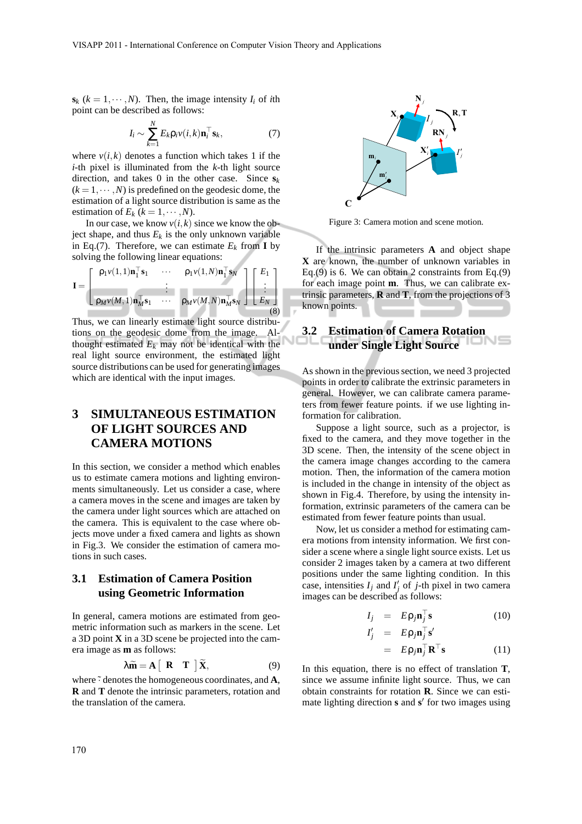$s_k$  ( $k = 1, \dots, N$ ). Then, the image intensity  $I_i$  of *i*th point can be described as follows:

$$
I_i \sim \sum_{k=1}^N E_k \rho_i v(i,k) \mathbf{n}_i^\top \mathbf{s}_k, \tag{7}
$$

where  $v(i,k)$  denotes a function which takes 1 if the *i*-th pixel is illuminated from the *k*-th light source direction, and takes 0 in the other case. Since  $s_k$  $(k = 1, \dots, N)$  is predefined on the geodesic dome, the estimation of a light source distribution is same as the estimation of  $E_k$  ( $k = 1, \dots, N$ ).

In our case, we know  $v(i, k)$  since we know the object shape, and thus  $E_k$  is the only unknown variable in Eq.(7). Therefore, we can estimate  $E_k$  from **I** by solving the following linear equations:

$$
\mathbf{I} = \begin{bmatrix} \rho_1 v(1,1) \mathbf{n}_1^\top \mathbf{s}_1 & \cdots & \rho_1 v(1,N) \mathbf{n}_1^\top \mathbf{s}_N \\ \vdots & \vdots & \vdots \\ \rho_M v(M,1) \mathbf{n}_M^\top \mathbf{s}_1 & \cdots & \rho_M v(M,N) \mathbf{n}_M^\top \mathbf{s}_N \end{bmatrix} \begin{bmatrix} E_1 \\ \vdots \\ E_N \end{bmatrix}
$$
(8)

Thus, we can linearly estimate light source distributions on the geodesic dome from the image. Althought estimated  $E_k$  may not be identical with the real light source environment, the estimated light source distributions can be used for generating images which are identical with the input images.

## **3 SIMULTANEOUS ESTIMATION OF LIGHT SOURCES AND CAMERA MOTIONS**

In this section, we consider a method which enables us to estimate camera motions and lighting environments simultaneously. Let us consider a case, where a camera moves in the scene and images are taken by the camera under light sources which are attached on the camera. This is equivalent to the case where objects move under a fixed camera and lights as shown in Fig.3. We consider the estimation of camera motions in such cases.

## **3.1 Estimation of Camera Position using Geometric Information**

In general, camera motions are estimated from geometric information such as markers in the scene. Let a 3D point **X** in a 3D scene be projected into the camera image as **m** as follows:

$$
\lambda \widetilde{\mathbf{m}} = \mathbf{A} \begin{bmatrix} \mathbf{R} & \mathbf{T} \end{bmatrix} \widetilde{\mathbf{X}}, \tag{9}
$$

where  $\tilde{\cdot}$  denotes the homogeneous coordinates, and **A**, **R** and **T** denote the intrinsic parameters, rotation and the translation of the camera.



Figure 3: Camera motion and scene motion.

If the intrinsic parameters **A** and object shape **X** are known, the number of unknown variables in Eq.(9) is 6. We can obtain 2 constraints from Eq.(9) for each image point **m**. Thus, we can calibrate extrinsic parameters, **R** and **T**, from the projections of 3 known points.

## **3.2 Estimation of Camera Rotation under Single Light Source**

As shown in the previous section, we need 3 projected points in order to calibrate the extrinsic parameters in general. However, we can calibrate camera parameters from fewer feature points. if we use lighting information for calibration.

Suppose a light source, such as a projector, is fixed to the camera, and they move together in the 3D scene. Then, the intensity of the scene object in the camera image changes according to the camera motion. Then, the information of the camera motion is included in the change in intensity of the object as shown in Fig.4. Therefore, by using the intensity information, extrinsic parameters of the camera can be estimated from fewer feature points than usual.

Now, let us consider a method for estimating camera motions from intensity information. We first consider a scene where a single light source exists. Let us consider 2 images taken by a camera at two different positions under the same lighting condition. In this case, intensities  $I_j$  and  $I'_j$  of *j*-th pixel in two camera images can be described as follows:

$$
I_j = E \rho_j \mathbf{n}_j^\top \mathbf{s} \tag{10}
$$

$$
I'_j = E \rho_j \mathbf{n}_j^{\top} \mathbf{s}'
$$

$$
= E \rho_j \mathbf{n}_j^\top \mathbf{R}^\top \mathbf{s} \tag{11}
$$

In this equation, there is no effect of translation **T**, since we assume infinite light source. Thus, we can obtain constraints for rotation **R**. Since we can estimate lighting direction **s** and **s** ′ for two images using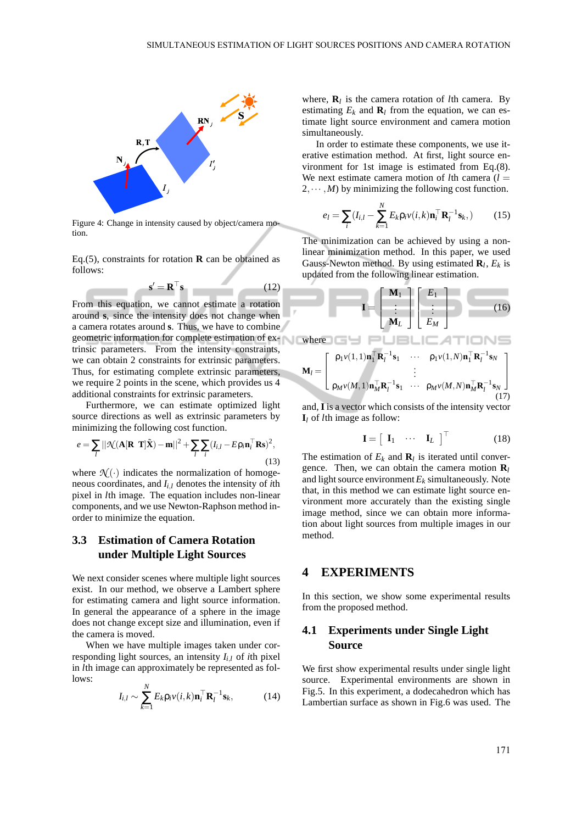

Figure 4: Change in intensity caused by object/camera motion.

Eq.(5), constraints for rotation **R** can be obtained as follows:

$$
\mathbf{s}' = \mathbf{R}^\top \mathbf{s} \tag{12}
$$

From this equation, we cannot estimate a rotation around **s**, since the intensity does not change when a camera rotates around **s**. Thus, we have to combine geometric information for complete estimation of ex-where trinsic parameters. From the intensity constraints, we can obtain 2 constraints for extrinsic parameters. Thus, for estimating complete extrinsic parameters, we require 2 points in the scene, which provides us 4 additional constraints for extrinsic parameters.

Furthermore, we can estimate optimized light source directions as well as extrinsic parameters by minimizing the following cost function.

$$
e = \sum_{l} ||\mathcal{N}(\mathbf{A}[\mathbf{R} \ \mathbf{T}]\tilde{\mathbf{X}}) - \mathbf{m}||^2 + \sum_{l} \sum_{i} (I_{i,l} - E\mathbf{p}_i \mathbf{n}_i^\top \mathbf{R}\mathbf{s})^2,
$$
\n(13)

where  $\mathcal{N}(\cdot)$  indicates the normalization of homogeneous coordinates, and *Ii*,*<sup>l</sup>* denotes the intensity of *i*th pixel in *l*th image. The equation includes non-linear components, and we use Newton-Raphson method inorder to minimize the equation.

### **3.3 Estimation of Camera Rotation under Multiple Light Sources**

We next consider scenes where multiple light sources exist. In our method, we observe a Lambert sphere for estimating camera and light source information. In general the appearance of a sphere in the image does not change except size and illumination, even if the camera is moved.

When we have multiple images taken under corresponding light sources, an intensity  $I_{i,l}$  of *i*th pixel in *l*th image can approximately be represented as follows:

$$
I_{i,l} \sim \sum_{k=1}^{N} E_k \rho_i v(i,k) \mathbf{n}_i^{\top} \mathbf{R}_l^{-1} \mathbf{s}_k,
$$
 (14)

where,  $\mathbf{R}_l$  is the camera rotation of *l*th camera. By estimating  $E_k$  and  $\mathbf{R}_l$  from the equation, we can estimate light source environment and camera motion simultaneously.

In order to estimate these components, we use iterative estimation method. At first, light source environment for 1st image is estimated from Eq.(8). We next estimate camera motion of  $l$ th camera ( $l =$  $2, \dots, M$ ) by minimizing the following cost function.

$$
e_l = \sum_i (I_{i,l} - \sum_{k=1}^N E_k \mathbf{p}_i v(i,k) \mathbf{n}_i^\top \mathbf{R}_l^{-1} \mathbf{s}_k, )
$$
 (15)

The minimization can be achieved by using a nonlinear minimization method. In this paper, we used Gauss-Newton method. By using estimated **R***<sup>l</sup>* , *E<sup>k</sup>* is updated from the following linear estimation.

$$
\mathbf{I} = \begin{bmatrix} \mathbf{M}_1 \\ \vdots \\ \mathbf{M}_L \end{bmatrix} \begin{bmatrix} E_1 \\ \vdots \\ E_M \end{bmatrix}
$$
 (16)

$$
\mathbf{M}_{l} = \left[ \begin{array}{cccc} \rho_1 v(1,1) \mathbf{n}_1^\top \mathbf{R}_l^{-1} \mathbf{s}_1 & \cdots & \rho_1 v(1,N) \mathbf{n}_1^\top \mathbf{R}_l^{-1} \mathbf{s}_N \\ \vdots & \vdots & \vdots \\ \rho_M v(M,1) \mathbf{n}_M^\top \mathbf{R}_l^{-1} \mathbf{s}_1 & \cdots & \rho_M v(M,N) \mathbf{n}_M^\top \mathbf{R}_l^{-1} \mathbf{s}_N \end{array} \right] \tag{17}
$$

and, **I** is a vector which consists of the intensity vector  $I_l$  of *l*th image as follow:

$$
\mathbf{I} = \begin{bmatrix} \mathbf{I}_1 & \cdots & \mathbf{I}_L \end{bmatrix}^\top \tag{18}
$$

The estimation of  $E_k$  and  $\mathbf{R}_l$  is iterated until convergence. Then, we can obtain the camera motion  $\mathbf{R}_l$ and light source environment  $E_k$  simultaneously. Note that, in this method we can estimate light source environment more accurately than the existing single image method, since we can obtain more information about light sources from multiple images in our method.

## **4 EXPERIMENTS**

In this section, we show some experimental results from the proposed method.

#### **4.1 Experiments under Single Light Source**

We first show experimental results under single light source. Experimental environments are shown in Fig.5. In this experiment, a dodecahedron which has Lambertian surface as shown in Fig.6 was used. The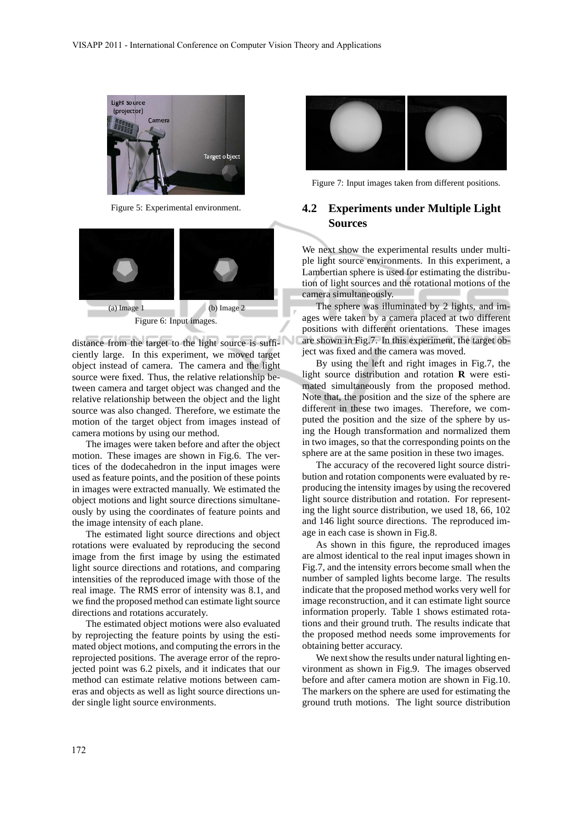

Figure 5: Experimental environment.



distance from the target to the light source is sufficiently large. In this experiment, we moved target object instead of camera. The camera and the light source were fixed. Thus, the relative relationship between camera and target object was changed and the relative relationship between the object and the light source was also changed. Therefore, we estimate the motion of the target object from images instead of camera motions by using our method.

The images were taken before and after the object motion. These images are shown in Fig.6. The vertices of the dodecahedron in the input images were used as feature points, and the position of these points in images were extracted manually. We estimated the object motions and light source directions simultaneously by using the coordinates of feature points and the image intensity of each plane.

The estimated light source directions and object rotations were evaluated by reproducing the second image from the first image by using the estimated light source directions and rotations, and comparing intensities of the reproduced image with those of the real image. The RMS error of intensity was 8.1, and we find the proposed method can estimate light source directions and rotations accurately.

The estimated object motions were also evaluated by reprojecting the feature points by using the estimated object motions, and computing the errors in the reprojected positions. The average error of the reprojected point was 6.2 pixels, and it indicates that our method can estimate relative motions between cameras and objects as well as light source directions under single light source environments.



Figure 7: Input images taken from different positions.

### **4.2 Experiments under Multiple Light Sources**

We next show the experimental results under multiple light source environments. In this experiment, a Lambertian sphere is used for estimating the distribution of light sources and the rotational motions of the camera simultaneously.

The sphere was illuminated by 2 lights, and images were taken by a camera placed at two different positions with different orientations. These images are shown in Fig.7. In this experiment, the target object was fixed and the camera was moved.

By using the left and right images in Fig.7, the light source distribution and rotation **R** were estimated simultaneously from the proposed method. Note that, the position and the size of the sphere are different in these two images. Therefore, we computed the position and the size of the sphere by using the Hough transformation and normalized them in two images, so that the corresponding points on the sphere are at the same position in these two images.

The accuracy of the recovered light source distribution and rotation components were evaluated by reproducing the intensity images by using the recovered light source distribution and rotation. For representing the light source distribution, we used 18, 66, 102 and 146 light source directions. The reproduced image in each case is shown in Fig.8.

As shown in this figure, the reproduced images are almost identical to the real input images shown in Fig.7, and the intensity errors become small when the number of sampled lights become large. The results indicate that the proposed method works very well for image reconstruction, and it can estimate light source information properly. Table 1 shows estimated rotations and their ground truth. The results indicate that the proposed method needs some improvements for obtaining better accuracy.

We next show the results under natural lighting environment as shown in Fig.9. The images observed before and after camera motion are shown in Fig.10. The markers on the sphere are used for estimating the ground truth motions. The light source distribution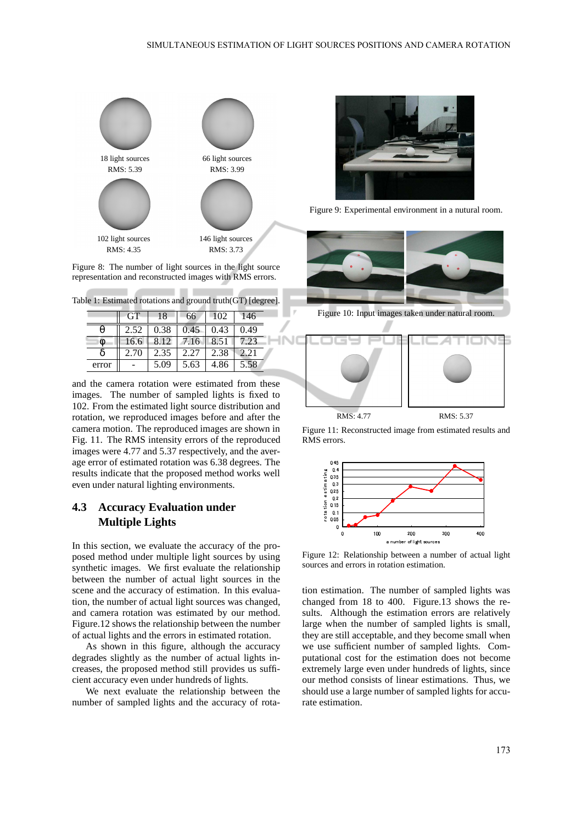

Figure 8: The number of light sources in the light source representation and reconstructed images with RMS errors.

-

|       | <b>GT</b>       | 18   | 66          | 102  | 146  |
|-------|-----------------|------|-------------|------|------|
|       | $2.52 \pm 0.38$ |      | 0.45        | 0.43 | 0.49 |
|       | 16.6            | 8.12 | 7.16   8.51 |      | 7.23 |
|       | 2.70            | 2.35 | 2.27        | 2.38 | 2.21 |
| error |                 | 5.09 | 5.63        | 4.86 | 5.58 |

and the camera rotation were estimated from these images. The number of sampled lights is fixed to 102. From the estimated light source distribution and rotation, we reproduced images before and after the camera motion. The reproduced images are shown in Fig. 11. The RMS intensity errors of the reproduced images were 4.77 and 5.37 respectively, and the average error of estimated rotation was 6.38 degrees. The results indicate that the proposed method works well even under natural lighting environments.

## **4.3 Accuracy Evaluation under Multiple Lights**

In this section, we evaluate the accuracy of the proposed method under multiple light sources by using synthetic images. We first evaluate the relationship between the number of actual light sources in the scene and the accuracy of estimation. In this evaluation, the number of actual light sources was changed, and camera rotation was estimated by our method. Figure.12 shows the relationship between the number of actual lights and the errors in estimated rotation.

As shown in this figure, although the accuracy degrades slightly as the number of actual lights increases, the proposed method still provides us sufficient accuracy even under hundreds of lights.

We next evaluate the relationship between the number of sampled lights and the accuracy of rota-



Figure 9: Experimental environment in a nutural room.



Figure 10: Input images taken under natural room.



Figure 11: Reconstructed image from estimated results and RMS errors.



Figure 12: Relationship between a number of actual light sources and errors in rotation estimation.

tion estimation. The number of sampled lights was changed from 18 to 400. Figure.13 shows the results. Although the estimation errors are relatively large when the number of sampled lights is small, they are still acceptable, and they become small when we use sufficient number of sampled lights. Computational cost for the estimation does not become extremely large even under hundreds of lights, since our method consists of linear estimations. Thus, we should use a large number of sampled lights for accurate estimation.